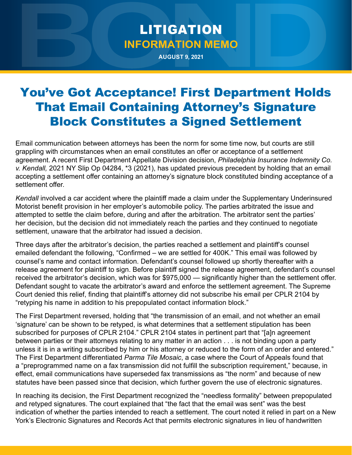## LITIGATION **INFORMATION MEMO**

**AUGUST 9, 2021**

## You've Got Acceptance! First Department Holds That Email Containing Attorney's Signature Block Constitutes a Signed Settlement

Email communication between attorneys has been the norm for some time now, but courts are still grappling with circumstances when an email constitutes an offer or acceptance of a settlement agreement. A recent First Department Appellate Division decision, *Philadelphia Insurance Indemnity Co. v. Kendall,* 2021 NY Slip Op 04284, \*3 (2021), has updated previous precedent by holding that an email accepting a settlement offer containing an attorney's signature block constituted binding acceptance of a settlement offer

*Kendall* involved a car accident where the plaintiff made a claim under the Supplementary Underinsured Motorist benefit provision in her employer's automobile policy. The parties arbitrated the issue and attempted to settle the claim before, during and after the arbitration. The arbitrator sent the parties' her decision, but the decision did not immediately reach the parties and they continued to negotiate settlement, unaware that the arbitrator had issued a decision.

Three days after the arbitrator's decision, the parties reached a settlement and plaintiff's counsel emailed defendant the following, "Confirmed – we are settled for 400K." This email was followed by counsel's name and contact information. Defendant's counsel followed up shortly thereafter with a release agreement for plaintiff to sign. Before plaintiff signed the release agreement, defendant's counsel received the arbitrator's decision, which was for \$975,000 — significantly higher than the settlement offer. Defendant sought to vacate the arbitrator's award and enforce the settlement agreement. The Supreme Court denied this relief, finding that plaintiff's attorney did not subscribe his email per CPLR 2104 by "retyping his name in addition to his prepopulated contact information block."

The First Department reversed, holding that "the transmission of an email, and not whether an email 'signature' can be shown to be retyped, is what determines that a settlement stipulation has been subscribed for purposes of CPLR 2104." CPLR 2104 states in pertinent part that "[a]n agreement between parties or their attorneys relating to any matter in an action . . . is not binding upon a party unless it is in a writing subscribed by him or his attorney or reduced to the form of an order and entered." The First Department differentiated *Parma Tile Mosaic*, a case where the Court of Appeals found that a "preprogrammed name on a fax transmission did not fulfill the subscription requirement," because, in effect, email communications have superseded fax transmissions as "the norm" and because of new statutes have been passed since that decision, which further govern the use of electronic signatures.

In reaching its decision, the First Department recognized the "needless formality" between prepopulated and retyped signatures. The court explained that "the fact that the email was sent" was the best indication of whether the parties intended to reach a settlement. The court noted it relied in part on a New York's Electronic Signatures and Records Act that permits electronic signatures in lieu of handwritten